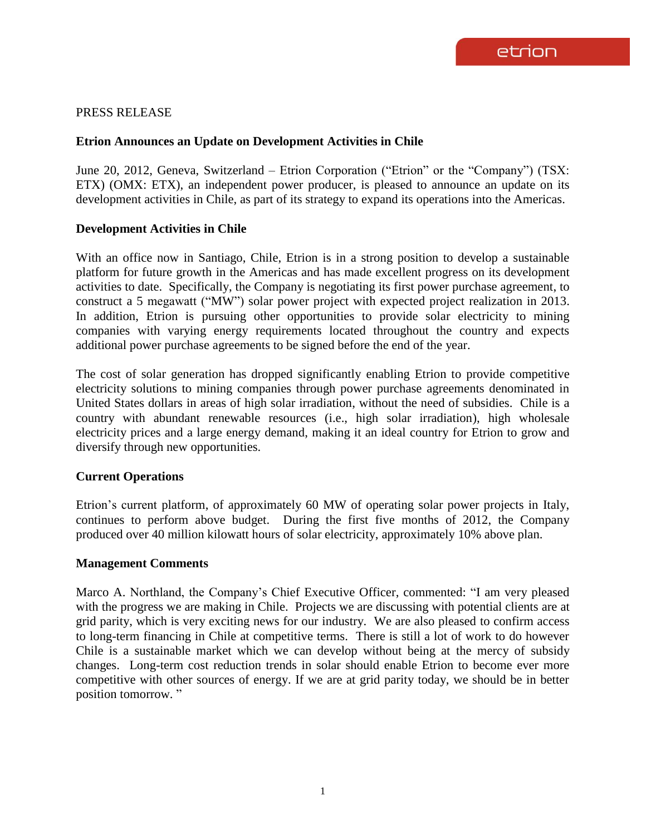# PRESS RELEASE

# **Etrion Announces an Update on Development Activities in Chile**

June 20, 2012, Geneva, Switzerland – Etrion Corporation ("Etrion" or the "Company") (TSX: ETX) (OMX: ETX), an independent power producer, is pleased to announce an update on its development activities in Chile, as part of its strategy to expand its operations into the Americas.

## **Development Activities in Chile**

With an office now in Santiago, Chile, Etrion is in a strong position to develop a sustainable platform for future growth in the Americas and has made excellent progress on its development activities to date. Specifically, the Company is negotiating its first power purchase agreement, to construct a 5 megawatt ("MW") solar power project with expected project realization in 2013. In addition, Etrion is pursuing other opportunities to provide solar electricity to mining companies with varying energy requirements located throughout the country and expects additional power purchase agreements to be signed before the end of the year.

The cost of solar generation has dropped significantly enabling Etrion to provide competitive electricity solutions to mining companies through power purchase agreements denominated in United States dollars in areas of high solar irradiation, without the need of subsidies. Chile is a country with abundant renewable resources (i.e., high solar irradiation), high wholesale electricity prices and a large energy demand, making it an ideal country for Etrion to grow and diversify through new opportunities.

# **Current Operations**

Etrion's current platform, of approximately 60 MW of operating solar power projects in Italy, continues to perform above budget. During the first five months of 2012, the Company produced over 40 million kilowatt hours of solar electricity, approximately 10% above plan.

#### **Management Comments**

Marco A. Northland, the Company's Chief Executive Officer, commented: "I am very pleased with the progress we are making in Chile. Projects we are discussing with potential clients are at grid parity, which is very exciting news for our industry. We are also pleased to confirm access to long-term financing in Chile at competitive terms. There is still a lot of work to do however Chile is a sustainable market which we can develop without being at the mercy of subsidy changes. Long-term cost reduction trends in solar should enable Etrion to become ever more competitive with other sources of energy. If we are at grid parity today, we should be in better position tomorrow. "